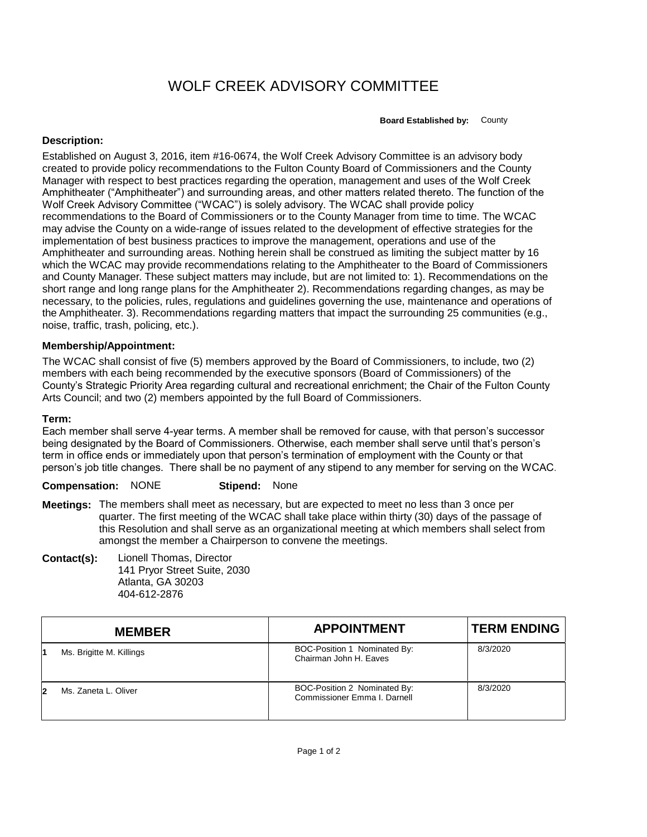## WOLF CREEK ADVISORY COMMITTEE

**Board Established by:** County

## **Description:**

Established on August 3, 2016, item #16-0674, the Wolf Creek Advisory Committee is an advisory body created to provide policy recommendations to the Fulton County Board of Commissioners and the County Manager with respect to best practices regarding the operation, management and uses of the Wolf Creek Amphitheater ("Amphitheater") and surrounding areas, and other matters related thereto. The function of the Wolf Creek Advisory Committee ("WCAC") is solely advisory. The WCAC shall provide policy recommendations to the Board of Commissioners or to the County Manager from time to time. The WCAC may advise the County on a wide-range of issues related to the development of effective strategies for the implementation of best business practices to improve the management, operations and use of the Amphitheater and surrounding areas. Nothing herein shall be construed as limiting the subject matter by 16 which the WCAC may provide recommendations relating to the Amphitheater to the Board of Commissioners and County Manager. These subject matters may include, but are not limited to: 1). Recommendations on the short range and long range plans for the Amphitheater 2). Recommendations regarding changes, as may be necessary, to the policies, rules, regulations and guidelines governing the use, maintenance and operations of the Amphitheater. 3). Recommendations regarding matters that impact the surrounding 25 communities (e.g., noise, traffic, trash, policing, etc.).

## **Membership/Appointment:**

The WCAC shall consist of five (5) members approved by the Board of Commissioners, to include, two (2) members with each being recommended by the executive sponsors (Board of Commissioners) of the County's Strategic Priority Area regarding cultural and recreational enrichment; the Chair of the Fulton County Arts Council; and two (2) members appointed by the full Board of Commissioners.

## **Term:**

Each member shall serve 4-year terms. A member shall be removed for cause, with that person's successor being designated by the Board of Commissioners. Otherwise, each member shall serve until that's person's term in office ends or immediately upon that person's termination of employment with the County or that person's job title changes. There shall be no payment of any stipend to any member for serving on the WCAC.

**Compensation:** NONE **Stipend:** None

- **Meetings:** The members shall meet as necessary, but are expected to meet no less than 3 once per quarter. The first meeting of the WCAC shall take place within thirty (30) days of the passage of this Resolution and shall serve as an organizational meeting at which members shall select from amongst the member a Chairperson to convene the meetings.
- **Contact(s):** Lionell Thomas, Director 141 Pryor Street Suite, 2030 Atlanta, GA 30203 404-612-2876

|    | <b>MEMBER</b>            | <b>APPOINTMENT</b>                                           | <b>TERM ENDING</b> |
|----|--------------------------|--------------------------------------------------------------|--------------------|
|    | Ms. Brigitte M. Killings | BOC-Position 1 Nominated By:<br>Chairman John H. Eaves       | 8/3/2020           |
| 12 | Ms. Zaneta L. Oliver     | BOC-Position 2 Nominated By:<br>Commissioner Emma I. Darnell | 8/3/2020           |